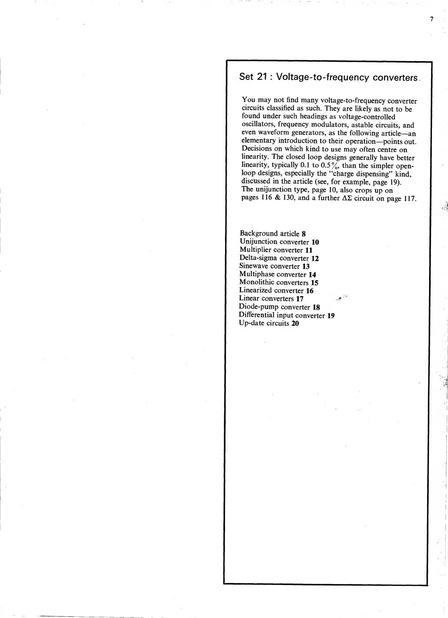### Set 21 : Voltage-to-frequency converters.

You may not find many voltage-to-frequency converter circuits classified as such. They are likely as not to be found under such headings as voltage-controlled oscillators, frequency modulators, astable circuits, and even waveform generators, as the following article—an elementary introduction to their operation—points out. Decisions on which kind to use may often centre on linearity. The closed loop designs generally have better inearity, typically 0.1 to 0.5 $\frac{9}{20}$ , than the simpler openloop designs, especially the "charge dispensing" kind, discussed in the article (see, for example, page 19). The unijunction type, page 10, also crops up on pages 116 & 130, and a further  $\Delta\Sigma$  circuit on page 117.

4

Background article 8 Unijunction converter 10 Multiplier converter 11 Delta-sigma converter 12 Sinewave converter 13 Multiphase converter 14 Monolithic converters 15 Linearized converter 16 Linear converters 17 Diode-pump converter 18 Differential input converter 19 Up-date circuits 20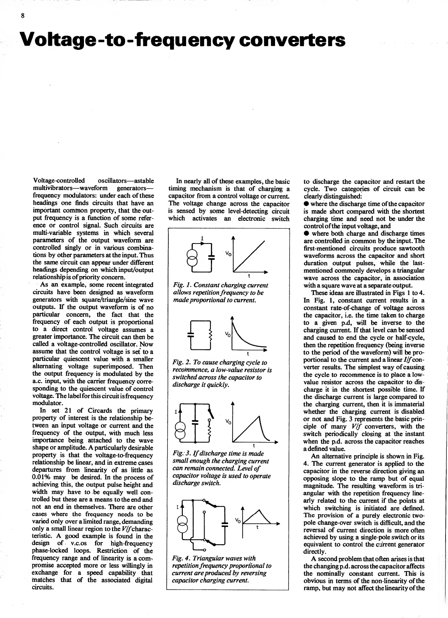# Voltage-to-frequency converters

—

Voltage-controlled oscillators—astable multivibrators—waveform generators frequency modulators: under each of these headings one finds circuits that have an important common property, that the out put frequency is a function of some refer ence or control signal. Such circuits are multi-variable systems in which several parameters of the output waveform are controlled singly or in various combinations by other parameters at the input. Thus the same circuit can appear under different headings depending on which input/output relationship is of priority concern.

As an example, some recent integrated circuits have been designed as waveform generators with square/triangle/sine wave outputs. If the output waveform is of no particular concern, the fact that the frequency of each output is proportional to a direct control voltage assumes a greater importance. The circuit can then be called a voltage-controlled oscillator. Now assume that the control voltage is set to a particular quiescent value with a smaller alternating voltage superimposed. Then the output frequency is modulated by the a.c. input, with the carrier frequency corre sponding to the quiescent value of control voltage. The label forthis circuit is frequency modulator.

In set 21 of Circards the primary property of interest is the relationship be tween an input voltage or current and the frequency of the output, with much less importance being attached to the wave shape or amplitude. Aparticularly desirable property is that the voltage-to-frequency relationship be linear, and in extreme cases departures from linearity of as little as 0.01% may be desired. In the process of achieving this, the output pulse height and width may have to be equally well controlled but these are a means to the end and not an end in themselves. There are other cases where the frequency needs to be varied only over a limited range, demanding only a small linear region to the  $V/f$ characteristic. A good example is found in the design of v.c.os for high-frequency phase-locked loops. Restriction of the frequency range and of linearity is a com-, promise accepted more or less willingly in exchange for a speed capability that matches that of the associated digital circuits.

In nearly all of these examples, the basic timing mechanism is that of charging a cycle. Two categoric apacitor from a control voltage or current. clearly distinguished: capacitor from a control voltage or current The voltage change across the capacitor is sensed by some level-detecting circuit which activates an electronic switch



Fig. 1. Constant charging current allows repetition frequency to be made proportional to current.



Fig. 2. To cause charging cycle to recommence, a low-value resistor is switched across the capacitor to discharge it quickly.



Fig. 3. If discharge time is made small enough the charging current can remain connected. Level of capacitor voltage is used to operate discharge switch.



Fig. 4. Triangular waves with repetition frequency proportional to current are produced by reversing capacitor charging current.

to discharge the capacitor and restart the cycle. Two categories of circuit can be

 $\bullet$  where the discharge time of the capacitor is made short compared with the shortest charging time and need not be under the<br>control of the input voltage, and

 $\bullet$  where both charge and discharge times are controlled in common by the input. The first-mentioned circuits produce sawtooth waveforms across the capacitor and short duration output pulses, while the last mentioned commonly develops a triangular wave across the capacitor, in association with a square wave at a separate output.

These ideas are illustrated in Figs <sup>1</sup> to 4. In Fig. 1, constant current results in a constant rate-of-change of voltage across the capacitor, i.e. the time taken to charge to a given p.d, will be inverse to the charging current. If that level can be sensed and caused to end the cycle or half-cycle, then the repetition frequency (being inverse to the period of the waveform) will be proportional to the current and a linear  $I/f$  converter results. The simplest way of causing the cycle to recommence is to place a lowvalue resistor across the capacitor to dis charge it in the shortest possible time. If the discharge current is large compared to the charging current, then it is immaterial whether the charging current is disabled or not and Fig. 3 represents the basic principle of many  $V/f$  converters, with the switch periodically closing at the instant when the p.d. across the capacitor reaches a defined value.

An alternative principle is shown in Fig. 4. The current generator is applied to the capacitor in the reverse direction giving an opposing slope to the ramp but of equal magnitude. The resulting waveform is tri angular with the repetition frequency line arly related to the current if the points at which switching is initiated are defined. The provision of a purely electronic twopole change-over switch is difficult, and the reversal of current direction is more often achieved by using a single-pole switch or its equivalent to control the current generator directly.

A second problem that often arises is that the changing p.d. across the capacitor affects the nominally constant current. This is obvious in terms of the non-linearity of the ramp, but may not affect the linearity of the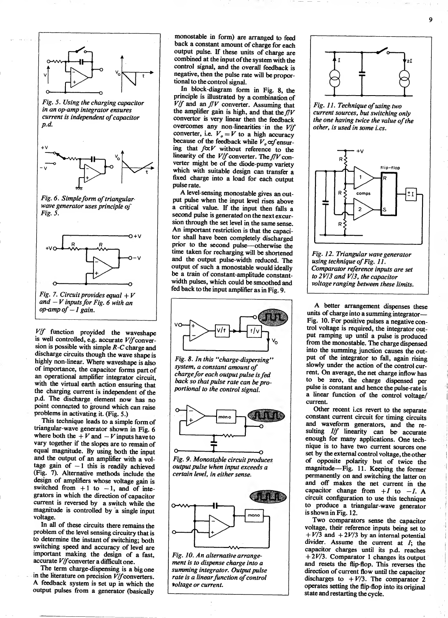



and  $-V$  inputs for Fig. 6 with an op-amp of  $-I$  gain.

 $V/f$  function provided the waveshape is well controlled, e.g. accurate  $V/f$  conversion is possible with simple  $R-C$  charge and discharge circuits though the wave shape is highly non-linear. Where waveshape is also of importance, the capacitor forms part of an operational amplifier integrator circuit, with the virtual earth action ensuring that the charging current is independent of the p.d. The discharge element now has no point connected to ground which can raise problems in activating it. (Fig. 5.)

This technique leads to a simple form of triangular-wave generator shown in Fig. 6 where both the  $+ V$  and  $- V$  inputs have to vary together if the slopes are to remain of equal magnitude. By using both the input and the output of an amplifier with a vol tage gain of  $-1$  this is readily achieved (Fig. 7). Alternative methods include the design of amplifiers whose voltage gain is switched from  $+1$  to  $-1$ , and of integrators in which the direction of capacitor current is reversed by a switch while the magnitude is controlled by a single input voltage.

In all of these circuits there remains the problem of the level sensing circuitry that is to determine the instant of switching; both switching speed and accuracy of level are important making the design of a fast, accurate  $V/f$  converter a difficult one.

The term charge-dispensing is a big one in the literature on precision  $V/f$  converters. A feedback system is set up in which the output pulses from a generator (basically

combined at the mput of the system with the<br>control signal, and the overall feedback is<br>negative, then the pulse rate will be propor-<br>tional to the control signal. monostable in form) are arranged to feed back a constant amount of charge for each output pulse. If these units of charge are combined at the input of the system with the negative, then the pulse rate will be proportional to the control signal.

In block-diagram form in Fig. 8, the principle is illustrated by a combination of  $V/f$  and an  $f/V$  converter. Assuming that the amplifier gain is high, and that the  $f/V$ convertor is very linear then the feedback overcomes any non-linearities in the  $V/f$ converter, i.e.  $V_o = V$  to a high accuracy because of the feedback while  $V<sub>o</sub>$   $\propto$ f ensuring that  $f \propto V$  without reference to the linearity of the  $V/f$  converter. The  $f/V$  converter might be of the diode-pump variety which with suitable design can transfer a fixed charge into a load for each output

A level-sensing monostable gives an output pulse when the input level rises above a critical value. If the input then falls a second pulse is generated on the next excur-<br>sion through the set level in the same sense. An important restriction is that the capacitor shall have been completely discharged<br>prior to the second pulse---otherwise the time taken for recharging will be shortened and the output pulse-width reduced. The output of such a monostable would ideally be a train of constant-amplitude constant width pulses, which could be smoothed and fed back to the input amplifier as in Fig. 9.



Fig. 8. In this "charge-dispersing" system, a constant amount of charge for each output pulse is fed back so that pulse rate can be proportional to the control signal.



Fig. 9. Monostable circuit produces output pulse when input exceeds a certain level, in either sense.



Fig. 10. An alternative arrange ment is to dispense charge into a summing integrator. Output pulse rate is a linear function of control voltage or current.



Fig. 11. Technique of using two current sources, but switching only the one having twice the value of the other, is used in some i.cs.



Fig. 12. Triangular wave generator using technique of Fig. 11. Comparator reference inputs are set to  $2V/3$  and  $V/3$ , the capacitor voltage ranging between these limits.

A better arrangement dispenses these units of charge into a summing integrator Fig. 10. For positive pulses a negative control voltage is required, the integrator out put ramping up until a pulse is produced from the monostable. The charge dispensed into the summing junction causes the out put of the integrator to fall, again rising slowly under the action of the control current. On average, the net charge inflow has to be zero, the charge dispensed per pulse is constant and hence the pulse-rate is a linear function of the control voltage/ current

Other recent i.cs revert to the separate constant current circuit for timing circuits and waveform generators, and the re sulting  $I/f$  linearity can be accurate enough for many applications. One tech nique is to have two current sources one set by the external control voltage, the other of opposite polarity but of twice the magnitude—Fig. 11. Keeping the former permanently on and switching the latter on and off makes the net current in the capacitor change from  $+I$  to  $-I$ . A circuit configuration to use this technique to produce a triangular-wave generator is shown in Fig. 12.

Two comparators sense the capacitor<br>voltage, their reference inputs being set to  $V/3$  and  $+ 2V/3$  by an internal potential divider. Assume the current at  $I$ ; the capacitor charges until its p.d. reaches  $+2V/3$ . Comparator 1 changes its output and resets the flip-flop. This reverses the direction of current flow until the capacitor discharges to  $+V/3$ . The comparator 2 operates setting the flip-flop into its original state and restarting the cycle.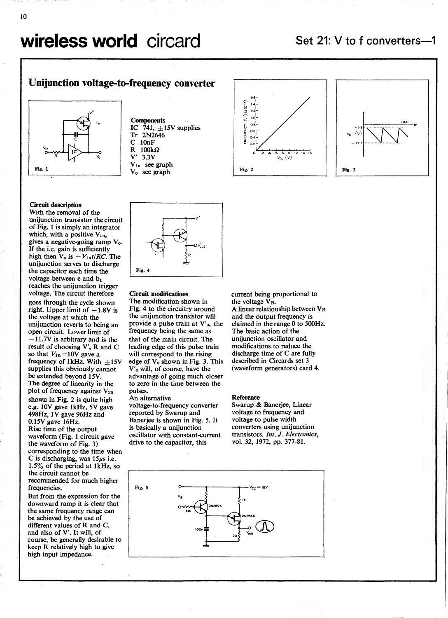## Unijunction voltage-to-frequency converter



#### Circuit description

With the removal of the unijunction transistor the circuit of Fig. <sup>1</sup> is simply an integrator which, with a positive  $V_{in}$ , gives a negative-going ramp  $V_0$ . If the i.e. gain is sufficiently high then  $V_0$  is  $-V_{\rm inf}/RC$ . The unijunction serves to discharge the capacitor each time the voltage between  $e$  and  $b_1$ reaches the unijunction trigger voltage. The circuit therefore

goes through the cycle shown right. Upper limit of  $-1.8V$  is the voltage at which the unijunction reverts to being an open circuit. Lower limit of -11.7V is arbitrary and is the result of choosing V, R and C so that  $V_{in}=10V$  gave a frequency of 1kHz. With  $\pm 15V$ supplies this obviously cannot be extended beyond 15V. The degree of linearity in the plot of frequency against Vin shown in Fig. 2 is quite high e.g. 10V gave 1kHz, 5V gave 498Hz, IV gave 96Hz and 0.15V gave 16Hz. Rise time of the output waveform (Fig. <sup>1</sup> circuit gave the waveform of Fig. 3) corresponding to the time when C is discharging, was  $15 \mu s$  i.e. 1.5% of the period at 1kHz, so the circuit cannot be

recommended for much higher frequencies.

But from the expression for the downward ramp it is clear that the same frequency range can be achieved by the use of different values of R and C, and also of V. It will, of course, be generally desirable to keep R relatively high to give high input impedance.

**Components** IC 741,  $\pm$ 15V supplies Tr 2N2646  $10nF$ R  $100k\Omega$ <br>V' 3.3V V<sub>in</sub> see graph Vo see graph

s –

Fig. 4

pulses. An alternative

Circuit modifications The modification shown in Fig. 4 to the circuitry around the unijunction transistor will provide a pulse train at V'o, the frequency being the same as that of the main circuit. The leading edge of this pulse train will correspond to the rising edge of Vo shown in Fig. 3. This V'o will, of course, have the advantage of going much closer to zero in the time between the

voltage-to-frequency converter reported by Swarup and Banerjee is shown in Fig. 5. It is basically a unijunction oscillator with constant-current drive to the capacitor, this

 $\begin{picture}(180,10) \put(10,10){\line(1,0){15}} \put(10,10){\line(1,0){15}} \put(10,10){\line(1,0){15}} \put(10,10){\line(1,0){15}} \put(10,10){\line(1,0){15}} \put(10,10){\line(1,0){15}} \put(10,10){\line(1,0){15}} \put(10,10){\line(1,0){15}} \put(10,10){\line(1,0){15}} \put(10,10){\line(1,0){15}} \put(10,10){\line(1,0){15$  $\bigvee$   $\bigvee_{\text{out}}$ 



and the control of the control of the control of the control of the control of the control of the control of the control of the control of the control of the control of the control of the control of the control of the cont



current being proportional to the voltage  $V_{B}$ . A linear relationship between VB and the output frequency is claimed in the range 0 to 500Hz. The basic action of the unijunction oscillator and modifications to reduce the discharge time of C are fully described in Circards set 3 (waveform generators) card 4.

#### Reference

Swarup & Banerjee, Linear voltage to frequency and voltage to pulse width converters using unijunction transistors. Int. J. Electronics, vol. 32, 1972, pp. 377-81.

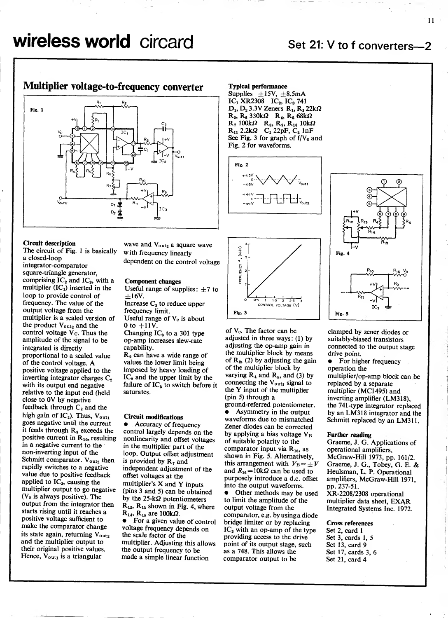

## Multiplier voltage-to-frequency converter

#### Circuit description

The circuit of Fig. <sup>1</sup> is basically a closed-loop integrator-comparator square-triangle generator, comprising  $IC_2$  and  $IC_3$ , with a  $\qquad C$ multiplier  $(IC_1)$  inserted in the loop to provide control of frequency. The value of the output voltage from the multiplier is a scaled version of the product V<sub>out2</sub> and the control voltage  $\bar{V}_C$ . Thus the amplitude of the signal to be integrated is directly proportional to a scaled value of the control voltage. A positive voltage applied to the inverting integrator charges  $C_2$ with its output end negative relative to the input end (held close to OV by negative feedback through  $C_2$  and the high gain of  $IC_2$ ). Thus,  $V_{\text{out}_1}$ goes negative until the current it feeds through  $R_9$  exceeds the positive current in R<sub>10</sub>, resulting in a negative current to the non-inverting input of the Schmitt comparator. Vout2 then rapidly switches to a negative value due to positive feedback applied to  $IC<sub>3</sub>$ , causing the multiplier output to go negative (V<sup>e</sup> is always positive). The output from the integrator then starts rising until it reaches a positive voltage sufficient to make the comparator change its state again, returning V<sub>out2</sub> and the multiplier output to their original positive values. Hence,  $V_{\text{out}_1}$  is a triangular

wave and V<sub>out2</sub> a square wave with frequency linearly dependent on the control voltage

### Component changes

Useful range of supplies:  $\pm 7$  to  $\pm 16V$ . Increase  $C_2$  to reduce upper frequency limit. Useful range of V<sub>e</sub> is about 0 to  $+11V$ . Changing  $IC<sub>a</sub>$  to a 301 type op-amp increases slew-rate capability.

 $R<sub>9</sub>$  can have a wide range of values the lower limit being imposed by heavy loading of  $IC<sub>2</sub>$  and the upper limit by the failure of  $IC<sub>3</sub>$  to switch before it saturates.

#### Circuit modifications

Accuracy of frequency control largely depends on the nonlinearity and offset voltages in the multiplier part of the loop. Output offset adjustment is provided by  $R_7$  and independent adjustment of the offset voltages at the multiplier's X and Y inputs (pins <sup>3</sup> and 5) can be obtained by the  $25-k\Omega$  potentiometers  $R_{12}$ ,  $R_{13}$  shown in Fig. 4, where  $R_{14}$ ,  $R_{15}$  are 100k $\Omega$ .

• For a given value of control voltage frequency depends on the scale factor of the multiplier. Adjusting this allows the output frequency to be made a simple linear function

Typical performance Supplies  $\pm 15V$ ,  $\pm 8.5mA$  $IC_1$  XR2308  $IC_2$ ,  $IC_3$  741  $D_1$ ,  $D_2$  3.3V Zeners  $R_1$ ,  $R_3$  22k $\Omega$  $R_2$ ,  $R_6$  330k $\Omega$   $R_4$ ,  $R_5$  68k $\Omega$ <br> $R_7$  100k $\Omega$   $R_8$ ,  $R_{9}$ ,  $R_{10}$  10k $\Omega$  $R_{11}$  2.2k $\Omega$   $C_1$  22pF,  $C_2$  1nF See Fig. 3 for graph of  $f/V_c$  and Fig. 2 for waveforms.





of V<sub>c</sub>. The factor can be adjusted in three ways: (1) by adjusting the op-amp gain in the multiplier block by means of  $R_2$ , (2) by adjusting the gain of the multiplier block by varying  $R_4$  and  $R_5$ , and (3) by connecting the  $V_{\text{out}_2}$  signal to the Y input of the multiplier (pin 5) through a

ground-referred potentiometer. • Asymmetry in the output waveforms due to mismatched Zener diodes can be corrected by applying a bias voltage  $V_B$ of suitable polarity to the comparator input via  $R_{16}$ , as shown in Fig. 5. Alternatively, this arrangement with  $V_B = \pm V$ and  $R_{16} = 10k\Omega$  can be used to purposely introduce a d.c. offset into the output waveforms.

Other methods may be used to limit the amplitude of the output voltage from the comparator, e.g. by using a diode bridge limiter or by replacing  $IC<sub>a</sub>$  with an op-amp of the type providing access to the drive point of its output stage, such as a 748. This allows the comparator output to be



clamped by zener diodes or suitably-biased transistors connected to the output stage drive point.

• For higher frequency operation the multiplier/op-amp block can be replaced by a separate multiplier (MC1495) and inverting amplifier (LM318), the 741 -type integrator replaced by an LM318 integrator and the Schmitt replaced by an LM311.

#### Further reading

Graeme, J. G. Applications of operational amplifiers, McGraw-Hill 1973, pp. 161/2. Graeme, J. G., Tobey, G. E. & Heulsman, L. P. Operational amplifiers, McGraw-Hill 1971, pp. 237-51. XR-2208/2308 operational multiplier data sheet, EXAR Integrated Systems Inc. 1972.

#### Cross references

Set 2, card <sup>1</sup> Set 3, cards 1, 5 Set 13, card 9 Set 17, cards 3, 6 Set 21, card 4

11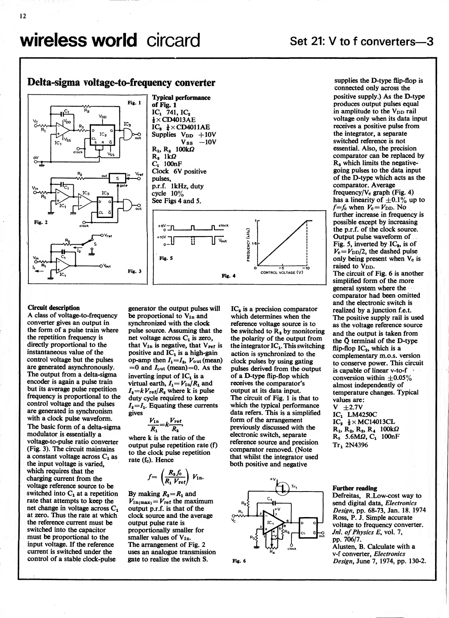### Delta-sigma voltage-to-frequency converter





Η



pulses derived from the output of a D-type flip-flop which receives the comparator's output at its data input. The circuit of Fig. <sup>1</sup> is that to which the typical performance data refers. This is a simplified form of the arrangement previously discussed with the electronic switch, separate reference source and precision comparator removed. (Note that whilst the integrator used both positive and negative



supplies the D-type flip-flop is connected only across the positive supply.) As the D-type produces output pulses equal in amplitude to the V<sub>DD</sub> rail voltage only when its data input receives a positive pulse from the integrator, a separate switched reference is not essential. Also, the precision comparator can be replaced by  $R<sub>3</sub>$  which limits the negativegoing pulses to the data input of the D-type which acts as the comparator. Average frequency/Vc graph (Fig. 4) has a linearity of  $\pm 0.1\%$  up to  $f=f_c$  when  $V_c=V_{\text{DD}}$ . No further increase in frequency is possible except by increasing the p.r.f. of the clock source. Output pulse waveform of Fig. 5, inverted by  $IC<sub>3</sub>$ , is of  $V_c = V_{\text{DD}}/2$ , the dashed pulse only being present when  $V_c$  is raised to V<sub>DD</sub>. The circuit of Fig. 6 is another simplified form of the more general system where the comparator had been omitted

and the electronic switch is realized by a junction f.e.t. The positive supply rail is used as the voltage reference source and the output is taken from the Q terminal of the D-type flip-flop  $IC_2$ , which is a complementary m.o.s. version to conserve power. This circuit is capable of linear v-to-f conversion within  $\pm 0.05\%$ almost independently of temperature changes. Typical values are:  $V \pm 2.7V$ 

IC<sub>1</sub> LM4250C  $IC_2$   $\frac{1}{2}$   $\times$  MC14013CL  $R_1, R_2, R_3, R_4$  100k $\Omega$  $R_5$  5.6M $\Omega$ ,  $C_1$  100nF Tr<sub>1</sub> 2N4396

Further reading Defreitas, R.Low-cost way to send digital data, Electronics Design, pp. 68-73, Jan. 18. 1974 Ross, P. J. Simple accurate voltage to frequency converter. Jnl. of Physics E, vol. 7, pp. 706/7. Alusten, B. Calculate with a v-f converter, Electronics Design, June 7, 1974, pp. 130-2.

#### Circuit description

A class of voltage-to-frequency converter gives an output in the form of a pulse train where the repetition frequency is directly proportional to the instantaneous value of the control voltage but the pulses are generated asynchronously. The output from a delta-sigma encoder is again a pulse train but its average pulse repetition frequency is proportional to the control voltage and the pulses are generated in synchronism with a clock pulse waveform. The basic form of a delta-sigma modulator is essentially a voltage-to-pulse ratio converter (Fig. 3). The circuit maintains a constant voltage across  $C_1$  as the input voltage is varied, which requires that the charging current from the voltage reference source to be switched into  $C_1$  at a repetition rate that attempts to keep the net change in voltage across Q at zero. Thus the rate at which the reference current must be switched into the capacitor must be proportional to the input voltage. If the reference current is switched under the control of a stable clock-pulse

be proportional to V<sub>in</sub> and synchronized with the clock pulse source. Assuming that the net voltage across  $C_1$  is zero, that  $V_{in}$  is negative, that  $V_{ref}$  is positive and  $IC<sub>1</sub>$  is a high-gain op-amp then  $I_1 = I_2$ ,  $V_{\text{out}}$  (mean)  $=0$  and  $I_{\text{out}}$  (mean) $=0$ . As the inverting input of  $IC<sub>1</sub>$  is a virtual earth,  $I_1 = V_{1n}/R_1$  and  $I_2 = kV_{\text{ref}}/R_2$  where k is pulse duty cycle required to keep  $I_2 = I_1$ . Equating these currents gives

$$
\frac{V_{1n}}{R_1} = k \frac{V_{ref}}{R_2},
$$

where k is the ratio of the output pulse repetition rate (f to the clock pulse repetition rate (fe). Hence

$$
f = \left(\frac{R_{2}f_{c}}{R_{1} V_{\text{ref}}}\right) V_{1\text{n}}.
$$

By making  $R_2=R_1$  and  $V_{\text{in(max)}} = V_{\text{ref}}$  the maximum output p.r.f. is that of the clock source and the average output pulse rate is proportionally smaller for smaller values of Vin. The arrangement of Fig. 2 uses an analogue transmission gate to realize the switch S.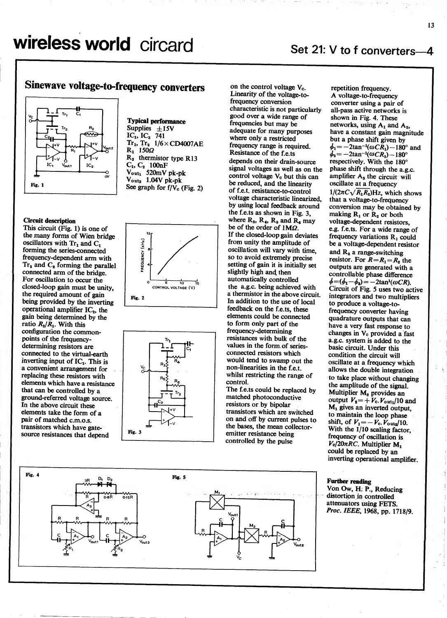13

## Sinewave voltage-to-frequency converters



### Circuit description

This circuit (Fig. 1) is one of the many forms of Wien bridge oscillators with  $Tr_1$  and  $C_1$ forming the series-connected frequency-dependent arm with  $Tr<sub>2</sub>$  and  $C<sub>2</sub>$  forming the parallel connected arm of the bridge. For oscillation to occur the closed-loop gain must be unity, the required amount of gain being provided by the inverting operational amplifier  $IC_2$ , the gain being determined by the ratio  $R_2/R_1$ . With this configuration the commonpoints of the frequencydetermining resistors are connected to the virtual-earth inverting input of IQ. This is a convenient arrangement for replacing these resistors with elements which have a resistance that can be controlled by a ground-referred voltage source. In the above circuit these elements take the form of a pair of matched c.m.o.s. transistors which have gate source resistances that depend

Typical performance Supplies  $\pm 15V$  $IC_1$ ,  $IC_2$  741  $Tr_1, Tr_2 1/6 \times CD4007AE$ <br>R<sub>1</sub> 150 $\Omega$  $R_2$  thermistor type R13  $C_1, C_2$  100nF Vouti 520mVpk-pk  $V_{\text{out}_2}$  1.04V pk-pk See graph for  $f/\bar{V}_c$  (Fig. 2)





on the control voltage  $V_c$ . Linearity of the voltage-tofrequency conversion characteristic is not particularly good over a wide range of frequencies but may be adequate for many purposes where only a restricted frequency range is required. Resistance of the f.e.ts depends on their drain-source signal voltages as well as on the control voltage V<sub>c</sub> but this can be reduced, and the linearity of f.e.t. resistance-to-control voltage characteristic linearized, by using local feedback around the f.e.ts as shown in Fig. 3, where  $R_3$ ,  $R_4$ ,  $R_5$  and  $R_6$  may be of the order of 1MQ. If the closed-loop gain deviates from unity the amplitude of oscillation will vary with time, so to avoid extremely precise setting of gain it is initially set slightly high and then automatically controlled the a.g.c. being achieved with a thermistor in the above circuit. In addition to the use of local feedback on the f.e.ts, these elements could be connected to form only part of the frequency-determining resistances with bulk of the values in the form, of series connected resistors which would tend to swamp out the non-linearities in the f.e.t. Whilst restricting the range of control.

The f.e.ts could be replaced by matched photoconductive resistors or by bipolar transistors which are switched on and off by current pulses to the bases, the mean collector emitter resistance being controlled by the pulse

repetition frequency. A voltage-to-frequency converter using a pair of all-pass active networks is shown in Fig. 4. These networks, using  $A_1$  and  $A_2$ , have a constant gain magnitude but a phase shift given by  $\phi_1 = -2\tan^{-1}(\omega C\tilde{R}_1) - 180^\circ$  and  $\phi_2 = -2\tan^{-1}(\omega C R_2) - 180^\circ$ respectively. With the 180° phase shift through the a.g.c. amplifier  $A_3$  the circuit will oscillate at a frequency  $1/(2\pi C \sqrt{R_1R_2})$ Hz, which shows that a voltage-to-frequency conversion may be obtained by making  $R_1$  or  $R_2$  or both voltage-dependent resistors, e.g. f.e.ts. For a wide range of frequency variations  $R_1$  could be a voltage-dependent resistor and  $R_2$  a range-switching resistor. For  $R=R_1=R_2$  the outputs are generated with a controllable phase difference  $\phi = (\phi_1 - \phi_2) = -2\tan^1(\omega CR).$ Circuit of Fig. 5 uses two active integrators and two multipliers to produce a voltage-tofrequency converter having quadrature outputs that can have a very fast response to changes in V<sub>c</sub> provided a fast a.g.c. system is added to the basic circuit. Under this condition the circuit will oscillate at a frequency which allows the double integration to take place without changing the amplitude of the signal. Multiplier M<sub>2</sub> provides an output  $V_2 = + V_c$ .  $V_{\text{out}_1}$ /10 and M<sub>1</sub> gives an inverted output, to maintain the loop phase shift, of  $V_1 = -V_c$ .  $\hat{V}_{\text{out}_2}/10$ . With the 1/10 scaling factor, frequency of oscillation is  $V_c/20\pi RC$ . Multiplier M<sub>1</sub> could be replaced by an inverting operational amplifier.

### Further reading

Von Ow, H. P., Reducing distortion in controlled attenuators using FETS. Proc. IEEE, 1968, pp. 1718/9.

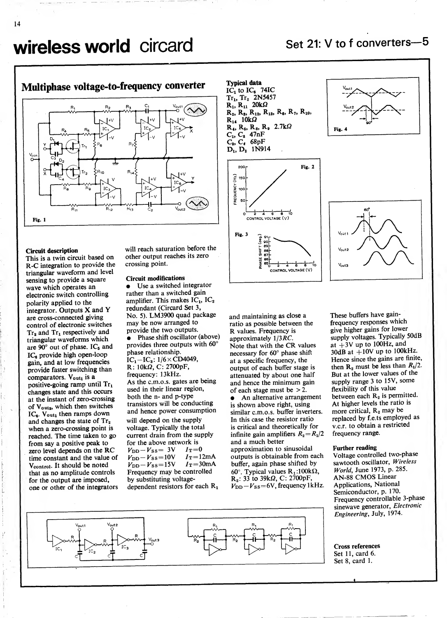

#### Circuit description

This is a twin circuit based on R-C integration to provide the triangular waveform and level sensing to provide a square wave which operates an electronic switch controlling polarity applied to the integrator. Outputs X and Y are cross-connected giving control of electronic switches  $Tr<sub>2</sub>$  and  $Tr<sub>1</sub>$  respectively and triangular waveforms which are  $90^\circ$  out of phase. IC<sub>5</sub> and IC<sub>6</sub> provide high open-loop gain, and at low frequencies provide faster switching than comparators. V<sub>out1</sub> is a positive-going ramp until Tr<sub>1</sub> changes state and this occurs at the instant of zero-crossing of V<sub>out2</sub>, which then switches IC<sub>6</sub>. Vout<sub>1</sub> then ramps down and changes the state of Tr<sub>2</sub> when a zero-crossing point is reached. The time taken to go from say a positive peak to zero level depends on the RC time constant and the value of Vcontroi. It should be noted that as no amplitude controls for the output are imposed, one or other of the integrators will reach saturation before the other output reaches its zero crossing point.

#### Circuit modifications

• Use a switched integrator rather than a switched gain amplifier. This makes  $IC_1$ ,  $IC_3$ redundant (Circard Set 3, No. 5). LM3900 quad package may be now arranged to provide the two outputs. • Phase shift oscillator (above) provides three outputs with 60° phase relationship.  $IC_1-IC_3$ : 1/6  $\times$ CD4049, R: lOkQ, C: 2700pF, frequency: 13kHz. As the c.m.o.s. gates are being used in their linear region, both the n- and p-type transistors will be conducting and hence power consumption will depend on the supply voltage. Typically the total current drain from the supply for the above network is<br> $V_{\text{DD}} - V_{\text{SS}} = 3V$   $I_{\text{T}} = 0$  $V_{\text{DD}}-V_{\text{SS}} = 3V$   $I_{\text{T}}=0$  ap<br>  $V_{\text{DD}}-V_{\text{SS}}=10V$   $I_{\text{T}}=12\text{mA}$  or  $V_{\text{DD}}-V_{\text{SS}} = 15V$   $I_{\text{T}} = 30mA$  by Frequency may be controlled by substituting voltagedependent resistors for each  $R_1$ 



and maintaining as close a ratio as possible between the R values. Frequency is approximately  $1/3 RC$ . Note that with the CR values necessary for 60° phase shift at a specific frequency, the output of each buffer stage is attenuated by about one half and hence the minimum gain of each stage must be  $> 2$ .

An alternative arrangement is shown above right, using similar c.m.o.s. buffer inverters. In this case the resistor ratio is critical and theoretically for infinite gain amplifiers  $R_2 = R_1/2$ and a much better approximation to sinusoidal outputs is obtainable from each buffer, again phase shifted by 60°. Typical values  $R_1$ :100k $\Omega$ ,  $R_2$ : 33 to 39k $\Omega$ , C: 2700pF,  $V_{\text{DD}}-V_{\text{SS}} = 6V$ , frequency 1 kHz.

These buffers have gainfrequency responses which give higher gains for lower supply voltages. Typically 50dB at  $+3V$  up to 100Hz, and  $30dB$  at  $+10V$  up to  $100kHz$ . Hence since the gains are finite, then  $\mathbf{R}_2$  must be less than  $R_1/2$ . But at the lower values of the supply range <sup>3</sup> to 15V, some flexibility of this value between each  $R_2$  is permitted. At higher levels the ratio is more critical,  $R_2$  may be replaced by f.e.ts employed as v.c.r. to obtain a restricted frequency range.

#### Further reading

Voltage controlled two-phase sawtooth oscillator, Wireless World, June 1973, p. 285. AN-88 CMOS Linear Applications, National Semiconductor, p. 170. Frequency controllable 3-phase sinewave generator, Electronic Engineering, July, 1974.

Cross references Set 11, card 6. Set 8, card 1.

# Vout 1<br>O  $\frac{V_{\rm out2}}{Q}$ Vout3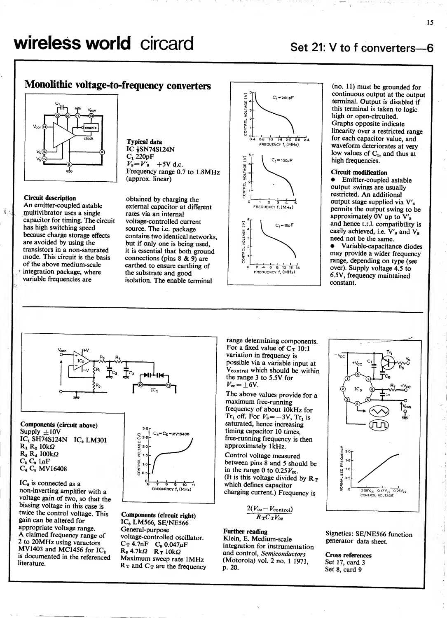## Monolithic voltage-to-frequency converters



#### Circuit description

 $6.4$ 

An emitter-coupled astable multivibrator uses a single capacitor for timing. The circuit has high switching speed because charge storage effects are avoided by using the transistors in a non-saturated mode. This circuit is the basis of the above medium-scale integration package, where variable frequencies are

Typical data IC **\**SN74S124N  $C_1$  220pF  $\vec{V}_s = \vec{V}_s' + 5V$  d.c. Frequency range 0.7 to 1.8MHz (approx. linear)

obtained by charging the external capacitor at different rates via an internal voltage-controlled current source. The i.c. package contains two identical networks, but if only one is being used, it is essential that both ground connections (pins <sup>8</sup> & 9) are earthed to ensure earthing of the substrate and good isolation. The enable terminal



(no. 11) must be grounded for continuous output at the output terminal. Output is disabled if this terminal is taken to logic high or open-circuited. Graphs opposite indicate linearity over a restricted range for each capacitor value, and waveform deteriorates at very low values of  $C_1$ , and thus at high frequencies.

#### Circuit modification

• Emitter-coupled astable output swings are usually restricted. An additional output stage supplied via V'<sup>s</sup> permits the output swing to be approximately OV up to V'<sup>s</sup> and hence t.t.l. compatibility is easily achieved, i.e. V's and Vs need not be the same. • Variable-capacitance diodes

may provide a wider frequency range, depending on type (see over). Supply voltage 4.5 to 6.5V, frequency maintained constant.



Supply  $\pm 10V$  $IC_1$  SH74S124N  $IC_2$  LM301<br>R<sub>1</sub> R<sub>2</sub> 10kΩ  $R_3 R_4 100k\Omega$ <br>C<sub>2</sub> C<sub>3</sub>  $1\mu$ F C<sub>4</sub> C<sub>5</sub> MV16408

 $IC<sub>2</sub>$  is connected as a non-inverting amplifier with a voltage gain of two, so that the biasing voltage in this case is twice the control voltage. This gain can be altered for<br>appropriate voltage range. A claimed frequency range of voltage-controlled oscillator.<br>
2 to 20MHz using variactors  $C_{\rm T}$  4.7nF  $C_{\rm c}$  0.047 $u$ F MV1403 and MC1456 for  $IC<sub>2</sub>$ is documented in the referenced Maximum sweep rate 1MHz literature.

VOLTAGE (V)<br>2 - 2 - 2<br>3 - 0 - 3 - $R$  0. §0-5  $C_4 = C_5 = MV1640B$ 7 8 9 10 11<br>FREQUENCY f, (MHz)

Components (circuit right) IC<sub>3</sub> LM566, SE/NE566 General-purpose voltage-controlled oscillator.<br>C<sub>T</sub> 4.7nF  $C_6$  0.047 $\mu$ F  $R_s$  4.7k $\Omega$   $R_T$  10k $\Omega$  and  $R_T$  10k $\Omega$  and  $R_T$  10K $\Omega$  and  $R_T$  10K $\Omega$  and  $R_T$  10K $\Omega$  and  $R_T$  10K $\Omega$  and  $R_T$  10K $\Omega$  and  $R_T$  10K $\Omega$  and  $R_T$  10K $\Omega$  and  $R_T$  10K $\Omega$  and  $R_T$  10K $\Omega$  and  $R_T$  10K $\Omega$  and  $R_T$  $R_T$  and  $C_T$  are the frequency

range determining components. For a fixed value of  $C_T$  10:1 variation in frequency is possible via a variable input at Vcontroi which should be within the range 3 to 5.5V for  $V_{\text{ee}} = \pm 6V$ .

The above values provide for a<br>maximum free-running<br>frequency of about 10kHz for  $Tr_1$  off. For  $V_8 = -3V$ ,  $Tr_1$  is saturated, hence increasing timing capacitor 10 times, free-running frequency is then approximately 1kHz.

Control voltage measured between pins 8 and <sup>5</sup> should be in the range 0 to  $0.25 V_{\text{ee}}$ . (It is this voltage divided by  $R_T$  which defines capacitor charging current.) Frequency is

$$
\frac{2(V_{\rm cc} - V_{\rm control})}{R_{\rm T}C_{\rm T}V_{\rm cc}}
$$

Further reading Klein, E. Medium-scale integration for instrumentation and control, Semiconductors (Motorola) vol. 2 no. 1 1971. p. 20.



Signetics: SE/NE566 function generator data sheet.

Cross references Set 17, card 3 Set 8, card 9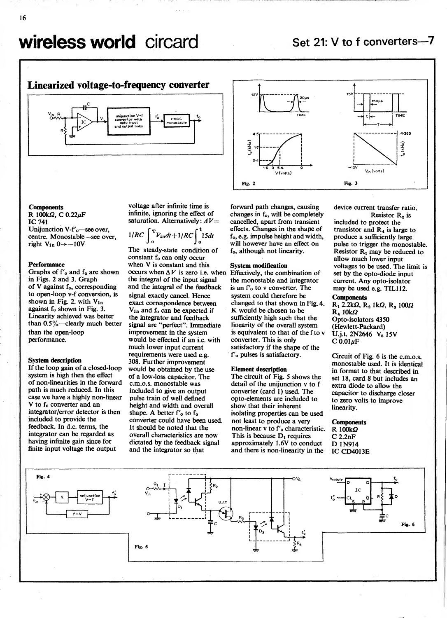

**Components** R  $100k\Omega$ , C 0.22 $\mu$ F IC 741 Unijunction V-f'<sub>o</sub>—see over, centre. Monostable—see over, 1 right  $V_{in}$  0  $\rightarrow$  -10V

#### **Performance**

Graphs of  $f'_0$  and  $f_0$  are shown in Figs. 2 and 3. Graph of V against f<sub>o</sub>, corresponding to open-loop v-f conversion, is shown in Fig. 2, with  $V_{in}$ against  $f_0$  shown in Fig. 3. Linearity achieved was better than 0.5%—clearly much better than the open-loop performance.

#### System description

If the loop gain of a closed-loop system is high then the effect of non-linearities in the forward path is much reduced. In this case we have a highly non-linear  $V$  to  $f_0$  converter and an integrator/error detector is then included to provide the feedback. In d.c. terms, the integrator can be regarded as having infinite gain since for finite input voltage the output

voltage after infinite time is infinite, ignoring the effect of saturation. Alternatively:  $\Delta V =$ 

$$
1/RC\int_{0}^{T}V_{\mathrm{in}}dt+1/RC\int_{0}^{t}15dt
$$

The steady-state condition of constant f<sub>o</sub> can only occur when V is constant and this occurs when  $\Delta V$  is zero i.e. when the integral of the input signal and the integral of the feedback signal exactly cancel. Hence exact correspondence between changed to that shown in Fig. 4.  $V_{in}$  and  $f_0$  can be expected if the integrator and feedback signal are "perfect". Immediate improvement in the system would be effected if an i.c. with much lower input current requirements were used e.g. 308. Further improvement would be obtained by the use of a low-loss capacitor. The c.m.o.s. monostable was included to give an output pulse train of well defined height and width and overall shape. A better  $f'$ <sub>o</sub> to  $f_0$ converter could have been used. It should be noted that the overall characteristics are now dictated by the feedback signal and the integrator so that



forward path changes, causing changes in f<sub>o</sub>, will be completely cancelled, apart from transient effects. Changes in the shape of f<sub>o</sub>, e.g. impulse height and width, will however have an effect on f<sub>o</sub>, although not linearity.

#### System modification

Effectively, the combination of the monostable and integrator is an f'<sub>0</sub> to v converter. The system could therefore be K would be chosen to be sufficiently high such that the linearity of the overall system is equivalent to that of the f to v converter. This is only satisfactory if the shape of the f'o pulses is satisfactory.

#### Element description

The circuit of Fig. 5 shows the detail of the unijunction v to f converter (card 1) used. The opto-elements are included to show that their inherent isolating properties can be used not least to produce a very non-linear v to f'<sub>o</sub> characteristic. This is because  $D_1$  requires approximately 1.6V to conduct and there is non-linearity in the

device current transfer ratio. Resistor  $R_2$  is included to protect the transistor and  $R<sub>4</sub>$  is large to

produce a sufficiently large pulse to trigger the monostable. Resistor  $R_1$  may be reduced to allow much lower input voltages to be used. The limit is set by the opto-diode input current. Any opto-isolator may be used e.g. TIL112.

### **Components**

 $R_1$  2.2k $\Omega$ ,  $R_2$  1k $\Omega$ ,  $R_3$  100 $\Omega$  $R_4$  10k $\Omega$ Opto-isolators 4350 (Hewlett-Packard) U.j.t. 2N2646 Vs 15V  $C$  0.01 $\mu$ F

Circuit of Fig. 6 is the c.m.o.s. monostable used. It is identical in format to that described in set 18, card 8 but includes an extra diode to allow the capacitor to discharge closer to zero volts to improve linearity.

**Components**  $R$  100 $k\Omega$  $C$  2.2nF D 1N914

IC CD4013E

Fig. 4  $\frac{1}{\sqrt{2}}\left(\frac{1}{\sqrt{2}}\right)$   $\frac{1}{\sqrt{2}}\left(\frac{1}{\sqrt{2}}\right)$   $\frac{1}{\sqrt{2}}\left(\frac{1}{\sqrt{2}}\right)$   $\frac{1}{\sqrt{2}}\left(\frac{1}{\sqrt{2}}\right)$  $\frac{1}{\pm c}$   $\frac{1}{\sqrt{L}}$   $\frac{R_3}{\sqrt{L}}$   $\frac{1}{\sqrt{L}}$   $\frac{1}{\sqrt{L}}$  $-V$ supply  $D$  O IC c∟ 5⊦ "} S R  $\mathbf{t}_{\alpha}$  .  $f'_o - \frac{1}{c} \frac{1}{c} \frac{1}{c}$  ,  $\frac{1}{c}$  ,  $\frac{1}{c}$  ,  $\frac{1}{c}$  ,  $\frac{1}{c}$  $\overrightarrow{ }$  $\Box$  $\frac{1}{2}$  $\mathbf{I}_c$  $\overline{u}$  $F_{ig. 6}$ Fig. 5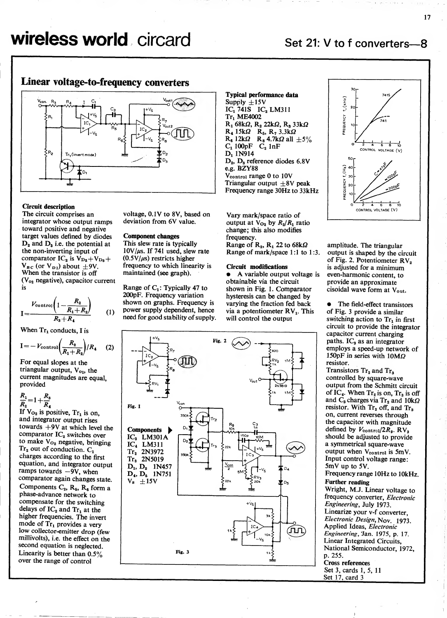## Linear voltage-to-frequency converters



#### Circuit description

The circuit comprises an integrator whose output ramps toward positive and negative target values defined by diodes  $D_2$  and  $D_3$  i.e. the potential at the non-inverting input of comparator  $IC_2$  is  $V_{D_2} + V_{D_3} +$  $V_{BC}$  (or  $V_{D1}$ ) about  $+9V$ . When the transistor is off (Vo<sup>2</sup> negative), capacitor current is

$$
I = \frac{V_{\text{control}}\left(1 - \frac{R_2}{R_1 + R_2}\right)}{R_3 + R_4} \tag{1}
$$

When  $Tr_1$  conducts, I is

$$
I = -V_{\text{control}} \left( \frac{R_2}{R_1 + R_2} \right) / R_4 \qquad (2)
$$

For equal slopes at the triangular output,  $V_{01}$ , the current magnitudes are equal, provided

$$
\frac{R_1}{R_2}\!=\!1+\!\frac{R_3}{R_4}
$$

If  $V_{O_2}$  is positive,  $Tr_1$  is on, and integrator output rises towards +9V at which level the comparator  $IC<sub>2</sub>$  switches over to make  $V_{O_2}$  negative, bringing  $Tr_2$  out of conduction.  $C_1$ charges according to the first equation, and integrator output ramps towards  $-9V$ , when comparator again changes state. Components  $C_2$ ,  $R_6$ ,  $R_6$  form a phase-advance network to compensate for the switching delays of  $IC_2$  and  $Tr_1$  at the<br>higher frequencies. The invert mode of  $Tr_1$  provides a very low collector-emitter drop (few millivolts), i.e. the effect on the second equation is neglected. Linearity is better than 0.5% over the range of control

voltage, 0.1V to 8V, based on deviation from 6V value.

#### Component changes

This slew rate is typically  $10V/\mu s$ . If 741 used, slew rate  $(0.5V/\mu s)$  restricts higher frequency to which linearity is maintained (see graph).

 $\frac{1}{1}$  need for good stability of supply.  $\sqrt{2}$ Range of  $C_1$ : Typically 47 to 200pF. Frequency variation shown on graphs. Frequency is power supply dependent, hence



Vary mark/space ratio of output at  $V_{\text{O}_2}$  by  $R_2/R_1$  ratio change; this also modifies frequency. Range of  $R_2$ ,  $R_1$  22 to 68k $\Omega$ Range of mark/space 1:1 to <sup>1</sup>:3.

### Circuit modifications

• A variable output voltage is obtainable via the circuit shown in Fig. 1. Comparator hysteresis can be changed by varying the fraction fed back via a potentiometer  $RV<sub>1</sub>$ . This will control the output





amplitude. The triangular output is shaped by the circuit of Fig. 2. Potentiometer  $RV<sub>2</sub>$ is adjusted for a minimum even-harmonic content, to provide an approximate cisoidal wave form at Vout.

• The field-effect transistors of Fig. 3 provide a similar switching action to  $Tr_1$  in first circuit to provide the integrator capacitor current charging paths.  $IC<sub>3</sub>$  as an integrator employs a speed-up network of 150pF in series with 10MQ resistor.

Transistors  $Tr<sub>2</sub>$  and  $Tr<sub>3</sub>$ controlled by square-wave output from the Schmitt circuit of  $IC_4$ . When  $Tr_2$  is on,  $Tr_3$  is off and  $C_3$  charges via Tr<sub>2</sub> and 10k $\Omega$ resistor. With  $Tr<sub>2</sub>$  off, and  $Tr<sub>3</sub>$ on, current reverses through the capacitor with magnitude defined by  $V_{\text{control}}/2R_{9}$ . RV<sub>3</sub> should be adjusted to provide a symmetrical square-wave output when  $V_{control}$  is 5mV. Input control voltage range: 5mV up to 5V. Frequency range 10Hz to 10kHz.

### Further reading

Wright, M.J. Linear voltage to frequency converter, Electronic Engineering, July 1973. Linearize your v-f converter, Electronic Design, Nov. 1973. Applied Ideas, *Electronic* Engineering, Jan. 1975, p. 17. Linear Integrated Circuits, National Semiconductor, 1972, p. 255.

#### Cross references Set 3, cards 1, 5, 11

Set  $17$ , card  $3$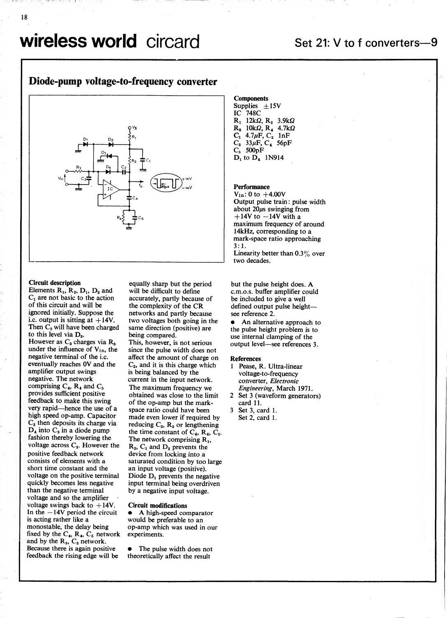**Market Street, Street Street** 

### Diode-pump voltage-to-frequency converter



#### Circuit description

Elements  $R_1$ ,  $R_2$ ,  $D_1$ ,  $D_2$  and  $C_1$  are not basic to the action of this circuit and will be ignored initially. Suppose the i.c. output is sitting at  $+14V$ . Then  $C_2$  will have been charged to this level via  $D_a$ . However as  $C_3$  charges via  $R_3$ under the influence of  $V_{in}$ , the since the pulse width does not negative terminal of the i.c. affect the amount of charge on negative terminal of the i.e. eventually reaches OV and the amplifier output swings negative. The network comprising  $C_4$ ,  $R_4$  and  $C_5$ provides sufficient positive feedback to make this swing very rapid—hence the use of <sup>a</sup> high speed op-amp. Capacitor  $C_2$  then deposits its charge via  $D_4$  into  $C_3$  in a diode pump fashion thereby lowering the voltage across  $C_3$ . However the R positive feedback network consists of elements with a short time constant and the voltage on the positive terminal quickly becomes less negative than the negative terminal voltage and so the amplifier voltage swings back to  $+14V$ . In the  $-14V$  period the circuit  $\bullet$ is acting rather like a monostable, the delay being fixed by the  $C_4$ ,  $R_4$ ,  $C_5$  network and by the  $R_3$ ,  $C_3$  network. Because there is again positive feedback the rising edge will be

equally sharp but the period will be difficult to define accurately, partly because of the complexity of the CR networks and partly because two voltages both going in the same direction (positive) are being compared.

This, however, is not serious since the pulse width does not  $C_2$ , and it is this charge which is being balanced by the current in the input network. The maximum frequency we obtained was close to the limit of the op-amp but the markspace ratio could have been made even lower if required by reducing  $C_3$ ,  $R_3$  or lengthening the time constant of  $C_4$ ,  $R_4$ ,  $C_5$ . The network comprising  $R_1$ ,<br> $R_2$ ,  $C_1$  and  $D_2$  prevents the device from locking into a saturated condition by too large an input voltage (positive). Diode  $D_1$  prevents the negative input terminal being overdriven by a negative input voltage.

#### Circuit modifications

• A high-speed comparator would be preferable to an op-amp which was used in our experiments.

• The pulse width does not theoretically affect the result

#### Supplies  $\pm 15V$ IC 748C  $R_1$  12k $\Omega$ ,  $R_2$  3.9k $\Omega$  $R_3$  10k $\Omega$ ,  $R_4$  4.7k $\Omega$  $C_1$  4.7 $\mu$ F,  $C_2$  1nF  $C_3$  33 $\mu$ F,  $C_4$  56pF  $C_5$  500pF  $D_1$  to  $D_4$  1N914

### **Performance**

**Components** 

 $V_{in}: 0 to +4.00V$ Output pulse train : pulse width about 20 $\mu$ s swinging from<br>+14V to -14V with a maximum frequency of around 14kHz, corresponding to a mark-space ratio approaching 3:1. Linearity better than  $0.3\%$  over two decades.

but the pulse height does. A c.m.o.s. buffer amplifier could be included to give a well defined output pulse height see reference 2.

• An alternative approach to the pulse height problem is to use internal clamping of the output level—see references 3.

#### References

- <sup>1</sup> Pease, R. Ultra-linear voltage-to-frequency converter, Electronic Engineering, March 1971.
- 2 Set 3 (waveform generators) card 11.
- 3 Set 3, card 1. Set 2, card 1.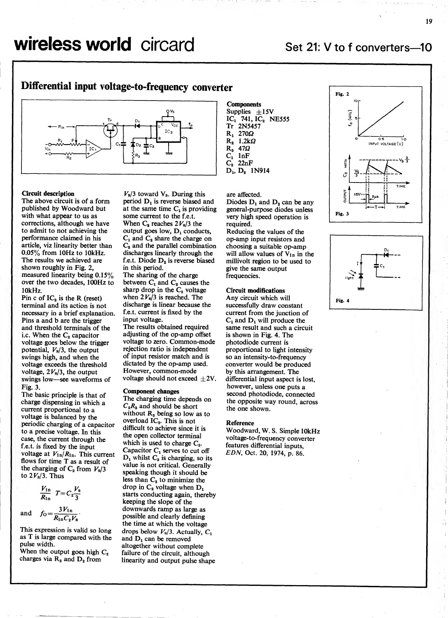## Differential input voltage-to-frequency converter



#### Circuit description

The above circuit is of a form published by Woodward but with what appear to us as corrections, although we have When  $C_2$  reaches  $2V_s/3$  the to admit to not achieving the performance claimed in his article, viz linearity better than  $C_2$  and the parallel combination 0.05% from 10Hz to 10kHz. The results we achieved are shown roughly in Fig. 2, measured linearity being 0.15% over the two decades, 100Hz to 10kHz.

Pin c of  $IC<sub>2</sub>$  is the R (reset) terminal and its action is not necessary in a brief explanation. Pins a and b are the trigger and threshold terminals of the i.c. When the  $C_2$  capacitor voltage goes below the trigger potential,  $V_s/3$ , the output swings high, and when the voltage exceeds the threshold voltage,  $2V<sub>s</sub>/3$ , the output swings low—see waveforms of Fig. 3.

The basic principle is that of charge dispensing in which a current proportional to a voltage is balanced by the periodic charging of a capacitor to a precise voltage. In this case, the current through the f.e.t. is fixed by the input voltage at  $V_{1n}/R_{1n}$ . This current capacitor  $C_1$  serves to cut off voltage at  $V_{1n}/R_{1n}$ . This current consistent consistent control of flows for time T as a result of the charging of  $C_2$  from  $V_s/3$ to  $2V<sub>s</sub>/3$ . Thus

$$
\frac{V_{\text{in}}}{R_{\text{in}}} T = C_2 \frac{V_{\text{s}}}{3}
$$
  
and  $f_0 = \frac{3V_{\text{in}}}{R_{\text{in}} C_2 V_{\text{s}}}$ 

This expression is valid so long as T is large compared with the pulse width.

When the output goes high  $C_2$ charges via  $R_3$  and  $D_2$  from

 $V<sub>s</sub>/3$  toward  $V<sub>s</sub>$ . During this period  $D_1$  is reverse biased and at the same time  $C_1$  is providing some current to the f.e.t. output goes low,  $D_1$  conducts,  $C_1$  and  $C_2$  share the charge on discharges linearly through the f.e.t. Diode  $D<sub>2</sub>$  is reverse biased in this period. The sharing of the charge between  $C_1$  and  $C_2$  causes the sharp drop in the  $C_2$  voltage

when  $2V_s/3$  is reached. The discharge is linear because the f.e.t. current is fixed by the input voltage. The results obtained required adjusting of the op-amp offset voltage to zero. Common-mode rejection ratio is independent of input resistor match and isdictated by the op-amp used. However, common-mode voltage should not exceed  $\pm 2V$ .

#### Component changes

The charging time depends on  $C_2R_3$  and should be short without  $R_3$  being so low as to overload  $IC_2$ . This is not difficult to achieve since it is the open collector terminal which is used to charge  $C_2$ .  $D_1$  whilst  $C_2$  is charging, so its value is not critical. Generally speaking though it should be less than  $C_2$  to minimize the drop in  $C_2$  voltage when  $D_1$ starts conducting again, thereby keeping the slope of the downwards ramp as large as possible and clearly defining the time at which the voltage drops below  $V_s/3$ . Actually,  $C_1$ and  $D_1$  can be removed altogether without complete failure of the circuit, although linearity and output pulse shape



#### are affected.

Diodes  $D_1$  and  $D_2$  can be any general-purpose diodes unless very high speed operation is required. Reducing the values of the

op-amp input resistors and choosing a suitable op-amp will allow values of  $V_{in}$  in the millivolt region to be used to give the same output frequencies.

#### Circuit modifications

Any circuit which will successfully draw constant current from the junction of  $C_1$  and  $D_1$  will produce the same result and such a circuit is shown in Fig. 4. The photodiode current is proportional to light intensity so an intensity-to-frequency converter would be produced by this arrangement. The differential input aspect is lost, however, unless one puts a second photodiode, connected the opposite way round, across the one shown.

#### Reference

Woodward, W. S. Simple 10kHz voltage-to-frequency converter features differential inputs, EDN, Oct. 20, 1974, p. 86.